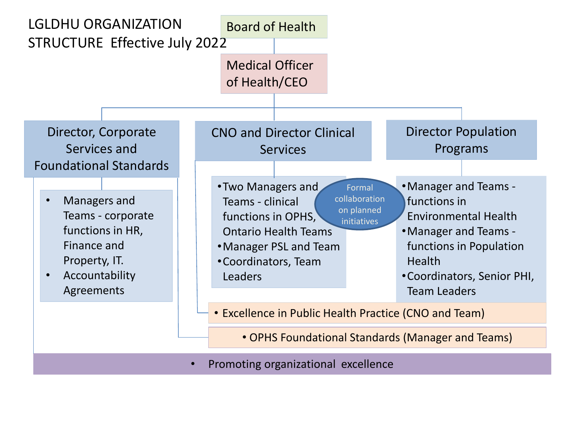